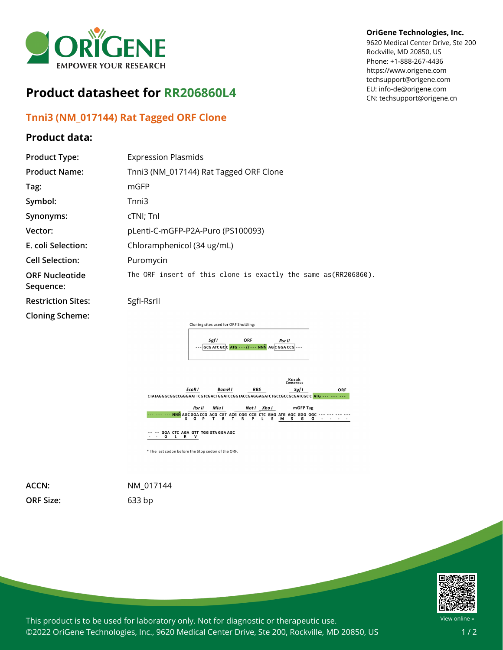

## **Product datasheet for RR206860L4**

## **Tnni3 (NM\_017144) Rat Tagged ORF Clone**

## **Product data:**

## **OriGene Technologies, Inc.**

9620 Medical Center Drive, Ste 200 Rockville, MD 20850, US Phone: +1-888-267-4436 https://www.origene.com techsupport@origene.com EU: info-de@origene.com CN: techsupport@origene.cn

| <b>Product Type:</b>               | <b>Expression Plasmids</b>                                                                                                   |
|------------------------------------|------------------------------------------------------------------------------------------------------------------------------|
| <b>Product Name:</b>               | Tnni3 (NM_017144) Rat Tagged ORF Clone                                                                                       |
| Tag:                               | mGFP                                                                                                                         |
| Symbol:                            | Tnni3                                                                                                                        |
| Synonyms:                          | cTNI; TnI                                                                                                                    |
| Vector:                            | pLenti-C-mGFP-P2A-Puro (PS100093)                                                                                            |
| E. coli Selection:                 | Chloramphenicol (34 ug/mL)                                                                                                   |
| <b>Cell Selection:</b>             | Puromycin                                                                                                                    |
| <b>ORF Nucleotide</b><br>Sequence: | The ORF insert of this clone is exactly the same as(RR206860).                                                               |
| <b>Restriction Sites:</b>          | Sgfl-Rsrll                                                                                                                   |
| <b>Cloning Scheme:</b>             | Cloning sites used for ORF Shuttling:<br>ORF<br>Sgf I<br><b>Rsr II</b><br>--- GCG ATC GCC ATG --- // --- NNN AGC GGA CCG --- |



\* The last codon before the Stop codon of the ORF.

**ORF Size:** 633 bp

**ACCN:** NM\_017144



This product is to be used for laboratory only. Not for diagnostic or therapeutic use. ©2022 OriGene Technologies, Inc., 9620 Medical Center Drive, Ste 200, Rockville, MD 20850, US